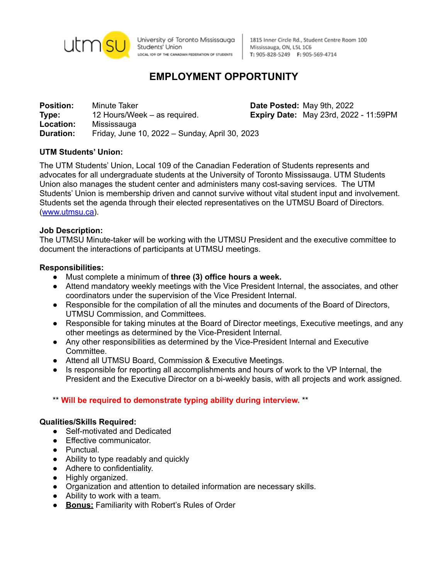

University of Toronto Mississauga Students' Union LOCAL IO9 OF THE CANADIAN FEDERATION OF STUDENTS

1815 Inner Circle Rd., Student Centre Room 100 Mississauga, ON, L5L 1C6 T: 905-828-5249 F: 905-569-4714

# **EMPLOYMENT OPPORTUNITY**

**Position:** Minute Taker **Date Posted:** May 9th, 2022 **Type:** 12 Hours/Week – as required. **Expiry Date:** May 23rd, 2022 - 11:59PM **Location:** Mississauga **Duration:** Friday, June 10, 2022 – Sunday, April 30, 2023

# **UTM Students' Union:**

The UTM Students' Union, Local 109 of the Canadian Federation of Students represents and advocates for all undergraduate students at the University of Toronto Mississauga. UTM Students Union also manages the student center and administers many cost-saving services. The UTM Students' Union is membership driven and cannot survive without vital student input and involvement. Students set the agenda through their elected representatives on the UTMSU Board of Directors. ([www.utmsu.ca\)](http://www.utmsu.ca).

## **Job Description:**

The UTMSU Minute-taker will be working with the UTMSU President and the executive committee to document the interactions of participants at UTMSU meetings.

## **Responsibilities:**

- Must complete a minimum of **three (3) office hours a week.**
- Attend mandatory weekly meetings with the Vice President Internal, the associates, and other coordinators under the supervision of the Vice President Internal.
- Responsible for the compilation of all the minutes and documents of the Board of Directors, UTMSU Commission, and Committees.
- Responsible for taking minutes at the Board of Director meetings, Executive meetings, and any other meetings as determined by the Vice-President Internal.
- Any other responsibilities as determined by the Vice-President Internal and Executive Committee.
- Attend all UTMSU Board, Commission & Executive Meetings.
- Is responsible for reporting all accomplishments and hours of work to the VP Internal, the President and the Executive Director on a bi-weekly basis, with all projects and work assigned.

# \*\* **Will be required to demonstrate typing ability during interview.** \*\*

### **Qualities/Skills Required:**

- Self-motivated and Dedicated
- Effective communicator.
- Punctual.
- Ability to type readably and quickly
- Adhere to confidentiality.
- Highly organized.
- Organization and attention to detailed information are necessary skills.
- Ability to work with a team.
- **Bonus:** Familiarity with Robert's Rules of Order